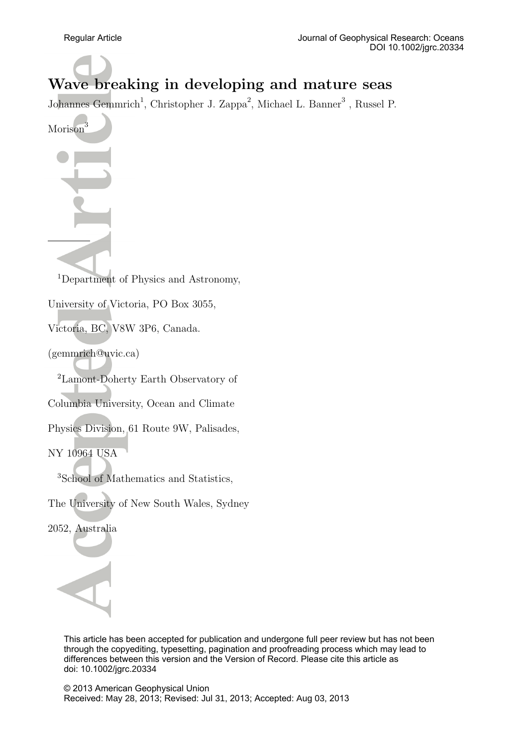# **Wave breaking in developing and mature seas**

Johannes Gemmrich<sup>1</sup>, Christopher J. Zappa<sup>2</sup>, Michael L. Banner<sup>3</sup>, Russel P.

Morison<sup>3</sup>

<sup>1</sup>Department of Physics and Astronomy,

University of Victoria, PO Box 3055,

Victoria, BC, V8W 3P6, Canada.

(gemmrich@uvic.ca)

<sup>2</sup>Lamont-Doherty Earth Observatory of

Columbia University, Ocean and Climate

Physics Division, 61 Route 9W, Palisades,

NY 10964 USA

<sup>3</sup>School of Mathematics and Statistics,

The University of New South Wales, Sydney

2052, Australia



This article has been accepted for publication and undergone full peer review but has not been through the copyediting, typesetting, pagination and proofreading process which may lead to differences between this version and the Version of Record. Please cite this article as doi: 10.1002/jgrc.20334

© 2013 American Geophysical Union Received: May 28, 2013; Revised: Jul 31, 2013; Accepted: Aug 03, 2013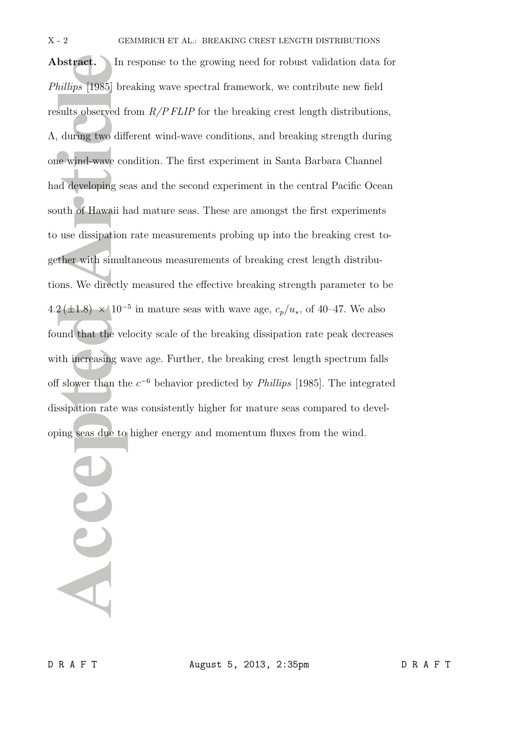# X - 2 GEMMRICH ET AL.: BREAKING CREST LENGTH DISTRIBUTIONS Abstract. In response to the growing need for robust validation data for *Phillips* [1985] breaking wave spectral framework, we contribute new field results observed from *R/P FLIP* for the breaking crest length distributions, Λ, during two different wind-wave conditions, and breaking strength during one wind-wave condition. The first experiment in Santa Barbara Channel had developing seas and the second experiment in the central Pacific Ocean south of Hawaii had mature seas. These are amongst the first experiments to use dissipation rate measurements probing up into the breaking crest together with simultaneous measurements of breaking crest length distributions. We directly measured the effective breaking strength parameter to be <sup>4</sup>*.*2 (*±*1*.*8) *<sup>×</sup>* <sup>10</sup>*−*<sup>5</sup> in mature seas with wave age, *cp/u∗*, of 40–47. We also found that the velocity scale of the breaking dissipation rate peak decreases with increasing wave age. Further, the breaking crest length spectrum falls off slower than the *c <sup>−</sup>*<sup>6</sup> behavior predicted by *Phillips* [1985]. The integrated dissipation rate was consistently higher for mature seas compared to developing seas due to higher energy and momentum fluxes from the wind.

Acce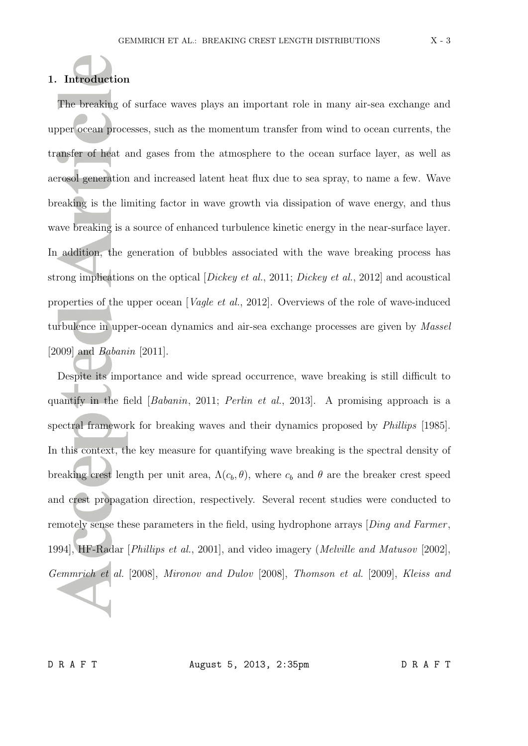# **1. Introduction**

The breaking of surface waves plays an important role in many air-sea exchange and upper ocean processes, such as the momentum transfer from wind to ocean currents, the transfer of heat and gases from the atmosphere to the ocean surface layer, as well as aerosol generation and increased latent heat flux due to sea spray, to name a few. Wave breaking is the limiting factor in wave growth via dissipation of wave energy, and thus wave breaking is a source of enhanced turbulence kinetic energy in the near-surface layer. In addition, the generation of bubbles associated with the wave breaking process has strong implications on the optical [*Dickey et al.*, 2011; *Dickey et al.*, 2012] and acoustical properties of the upper ocean [*Vagle et al.*, 2012]. Overviews of the role of wave-induced turbulence in upper-ocean dynamics and air-sea exchange processes are given by *Massel* [2009] and *Babanin* [2011].

Despite its importance and wide spread occurrence, wave breaking is still difficult to quantify in the field [*Babanin*, 2011; *Perlin et al.*, 2013]. A promising approach is a spectral framework for breaking waves and their dynamics proposed by *Phillips* [1985]. In this context, the key measure for quantifying wave breaking is the spectral density of breaking crest length per unit area,  $\Lambda(c_b, \theta)$ , where  $c_b$  and  $\theta$  are the breaker crest speed and crest propagation direction, respectively. Several recent studies were conducted to remotely sense these parameters in the field, using hydrophone arrays [*Ding and Farmer* , 1994], HF-Radar [*Phillips et al.*, 2001], and video imagery (*Melville and Matusov* [2002], *Gemmrich et al.* [2008], *Mironov and Dulov* [2008], *Thomson et al.* [2009], *Kleiss and*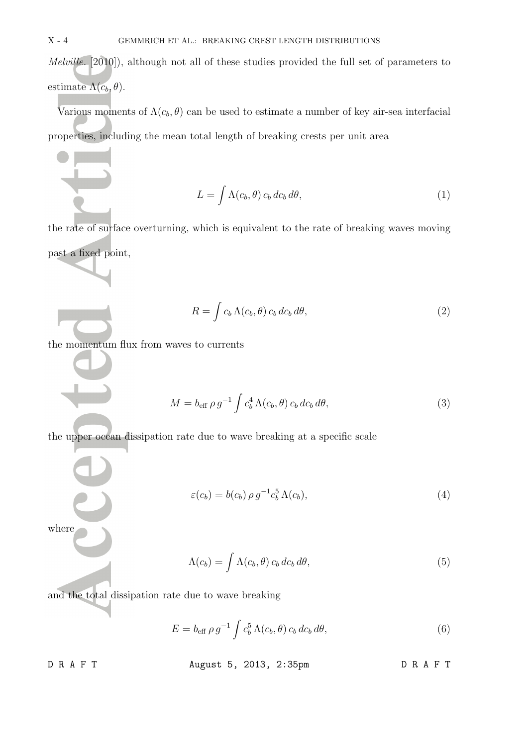*Melville.* [2010]), although not all of these studies provided the full set of parameters to estimate  $\Lambda(c_b, \theta)$ .

Various moments of  $\Lambda(c_b, \theta)$  can be used to estimate a number of key air-sea interfacial properties, including the mean total length of breaking crests per unit area

$$
L = \int \Lambda(c_b, \theta) c_b \, dc_b \, d\theta,\tag{1}
$$

the rate of surface overturning, which is equivalent to the rate of breaking waves moving past a fixed point,

$$
R = \int c_b \Lambda(c_b, \theta) c_b d c_b d \theta, \qquad (2)
$$

the momentum flux from waves to currents

$$
M = b_{\text{eff}} \rho g^{-1} \int c_b^4 \Lambda(c_b, \theta) c_b d c_b d\theta,
$$
\n(3)

the upper ocean dissipation rate due to wave breaking at a specific scale

$$
\varepsilon(c_b) = b(c_b) \rho g^{-1} c_b^5 \Lambda(c_b), \qquad (4)
$$

where

$$
\Lambda(c_b) = \int \Lambda(c_b, \theta) c_b \, dc_b \, d\theta,\tag{5}
$$

and the total dissipation rate due to wave breaking

$$
E = b_{\text{eff}} \rho g^{-1} \int c_b^5 \Lambda(c_b, \theta) c_b d c_b d\theta, \qquad (6)
$$

D R A F T August 5, 2013, 2:35pm D R A F T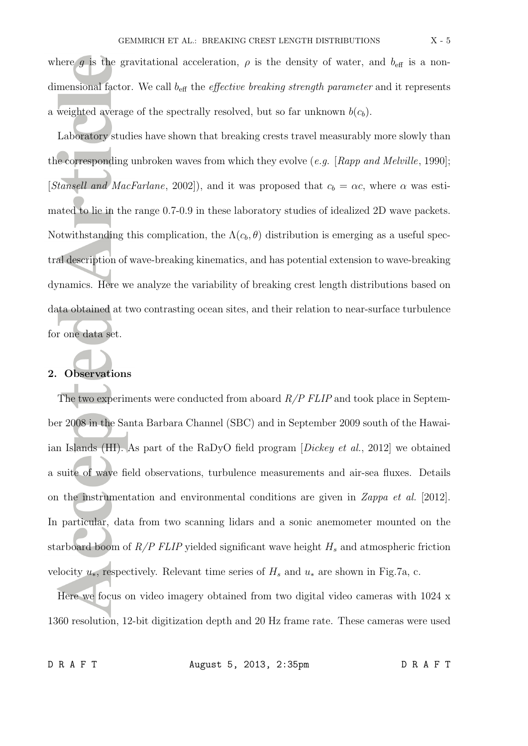where *g* is the gravitational acceleration,  $\rho$  is the density of water, and  $b_{\text{eff}}$  is a nondimensional factor. We call  $b_{\text{eff}}$  the *effective breaking strength parameter* and it represents a weighted average of the spectrally resolved, but so far unknown  $b(c_h)$ .

Laboratory studies have shown that breaking crests travel measurably more slowly than the corresponding unbroken waves from which they evolve (*e.g.* [*Rapp and Melville*, 1990]; [*Stansell and MacFarlane*, 2002]), and it was proposed that  $c_b = \alpha c$ , where  $\alpha$  was estimated to lie in the range 0.7-0.9 in these laboratory studies of idealized 2D wave packets. Notwithstanding this complication, the  $\Lambda(c_b, \theta)$  distribution is emerging as a useful spectral description of wave-breaking kinematics, and has potential extension to wave-breaking dynamics. Here we analyze the variability of breaking crest length distributions based on data obtained at two contrasting ocean sites, and their relation to near-surface turbulence for one data set.

# **2. Observations**

The two experiments were conducted from aboard *R/P FLIP* and took place in September 2008 in the Santa Barbara Channel (SBC) and in September 2009 south of the Hawaiian Islands (HI). As part of the RaDyO field program [*Dickey et al.*, 2012] we obtained a suite of wave field observations, turbulence measurements and air-sea fluxes. Details on the instrumentation and environmental conditions are given in *Zappa et al.* [2012]. In particular, data from two scanning lidars and a sonic anemometer mounted on the starboard boom of *R/P FLIP* yielded significant wave height *H<sup>s</sup>* and atmospheric friction velocity  $u_*$ , respectively. Relevant time series of  $H_s$  and  $u_*$  are shown in Fig.7a, c.

Here we focus on video imagery obtained from two digital video cameras with 1024 x 1360 resolution, 12-bit digitization depth and 20 Hz frame rate. These cameras were used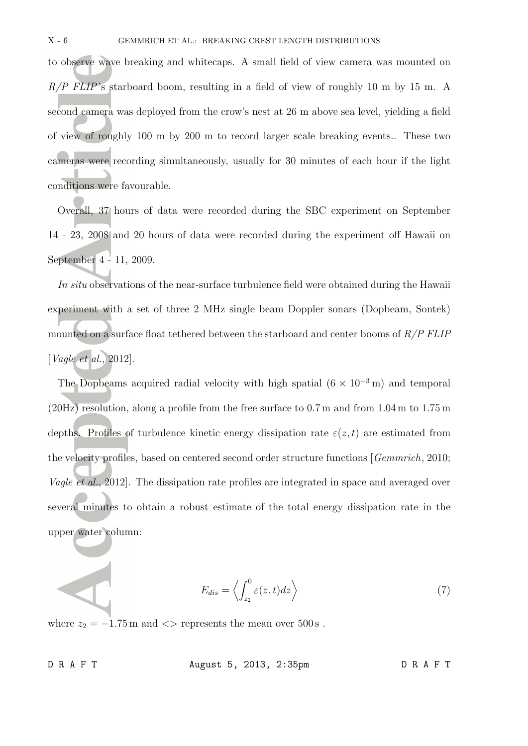to observe wave breaking and whitecaps. A small field of view camera was mounted on *R/P FLIP* 's starboard boom, resulting in a field of view of roughly 10 m by 15 m. A second camera was deployed from the crow's nest at 26 m above sea level, yielding a field of view of roughly 100 m by 200 m to record larger scale breaking events.. These two cameras were recording simultaneously, usually for 30 minutes of each hour if the light conditions were favourable.

Overall, 37 hours of data were recorded during the SBC experiment on September 14 - 23, 2008 and 20 hours of data were recorded during the experiment off Hawaii on September 4 - 11, 2009.

*In situ* observations of the near-surface turbulence field were obtained during the Hawaii experiment with a set of three 2 MHz single beam Doppler sonars (Dopbeam, Sontek) mounted on a surface float tethered between the starboard and center booms of *R/P FLIP* [*Vagle et al.*, 2012].

The Dopbeams acquired radial velocity with high spatial  $(6 \times 10^{-3} \text{ m})$  and temporal (20Hz) resolution, along a profile from the free surface to 0.7 m and from 1.04 m to 1.75 m depths. Profiles of turbulence kinetic energy dissipation rate  $\varepsilon(z, t)$  are estimated from the velocity profiles, based on centered second order structure functions [*Gemmrich*, 2010; *Vagle et al.*, 2012]. The dissipation rate profiles are integrated in space and averaged over several minutes to obtain a robust estimate of the total energy dissipation rate in the upper water column:

$$
E_{dis} = \left\langle \int_{z_2}^{0} \varepsilon(z, t) dz \right\rangle \tag{7}
$$

where  $z_2 = -1.75 \,\mathrm{m}$  and  $\langle \rangle$  represents the mean over 500 s .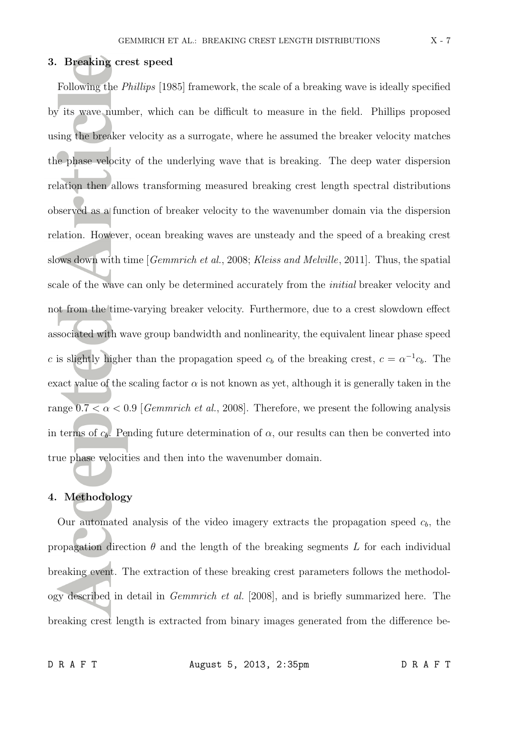#### **3. Breaking crest speed**

Following the *Phillips* [1985] framework, the scale of a breaking wave is ideally specified by its wave number, which can be difficult to measure in the field. Phillips proposed using the breaker velocity as a surrogate, where he assumed the breaker velocity matches the phase velocity of the underlying wave that is breaking. The deep water dispersion relation then allows transforming measured breaking crest length spectral distributions observed as a function of breaker velocity to the wavenumber domain via the dispersion relation. However, ocean breaking waves are unsteady and the speed of a breaking crest slows down with time [*Gemmrich et al.*, 2008; *Kleiss and Melville*, 2011]. Thus, the spatial scale of the wave can only be determined accurately from the *initial* breaker velocity and not from the time-varying breaker velocity. Furthermore, due to a crest slowdown effect associated with wave group bandwidth and nonlinearity, the equivalent linear phase speed *c* is slightly higher than the propagation speed  $c<sub>b</sub>$  of the breaking crest,  $c = \alpha^{-1}c_b$ . The exact value of the scaling factor  $\alpha$  is not known as yet, although it is generally taken in the range  $0.7 < \alpha < 0.9$  [*Gemmrich et al.*, 2008]. Therefore, we present the following analysis in terms of  $c<sub>b</sub>$ . Pending future determination of  $\alpha$ , our results can then be converted into true phase velocities and then into the wavenumber domain.

#### **4. Methodology**

Our automated analysis of the video imagery extracts the propagation speed  $c<sub>b</sub>$ , the propagation direction  $\theta$  and the length of the breaking segments  $L$  for each individual breaking event. The extraction of these breaking crest parameters follows the methodology described in detail in *Gemmrich et al.* [2008], and is briefly summarized here. The breaking crest length is extracted from binary images generated from the difference be-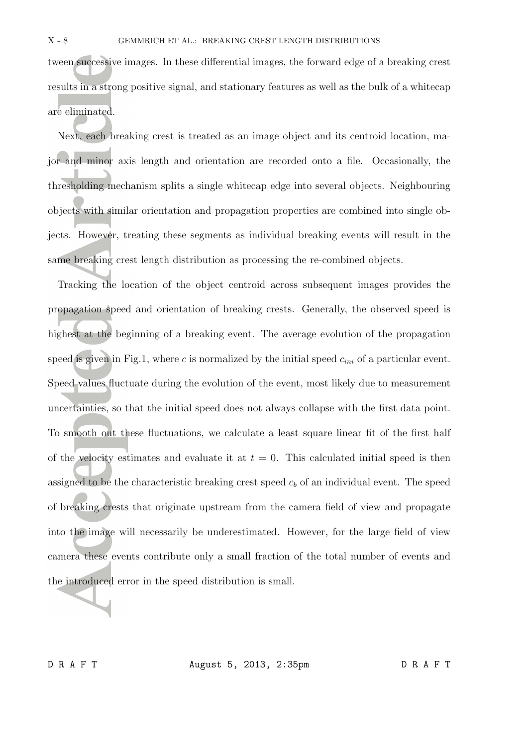tween successive images. In these differential images, the forward edge of a breaking crest results in a strong positive signal, and stationary features as well as the bulk of a whitecap are eliminated.

Next, each breaking crest is treated as an image object and its centroid location, major and minor axis length and orientation are recorded onto a file. Occasionally, the thresholding mechanism splits a single whitecap edge into several objects. Neighbouring objects with similar orientation and propagation properties are combined into single objects. However, treating these segments as individual breaking events will result in the same breaking crest length distribution as processing the re-combined objects.

Tracking the location of the object centroid across subsequent images provides the propagation speed and orientation of breaking crests. Generally, the observed speed is highest at the beginning of a breaking event. The average evolution of the propagation speed is given in Fig.1, where *c* is normalized by the initial speed *cini* of a particular event. Speed values fluctuate during the evolution of the event, most likely due to measurement uncertainties, so that the initial speed does not always collapse with the first data point. To smooth out these fluctuations, we calculate a least square linear fit of the first half of the velocity estimates and evaluate it at  $t = 0$ . This calculated initial speed is then assigned to be the characteristic breaking crest speed  $c<sub>b</sub>$  of an individual event. The speed of breaking crests that originate upstream from the camera field of view and propagate into the image will necessarily be underestimated. However, for the large field of view camera these events contribute only a small fraction of the total number of events and the introduced error in the speed distribution is small.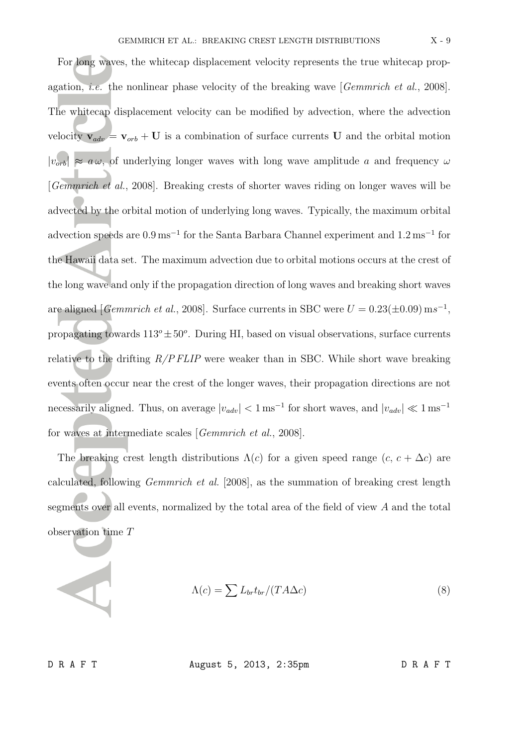For long waves, the whitecap displacement velocity represents the true whitecap propagation, *i.e.* the nonlinear phase velocity of the breaking wave [*Gemmrich et al.*, 2008]. The whitecap displacement velocity can be modified by advection, where the advection velocity  $\mathbf{v}_{adv} = \mathbf{v}_{orb} + \mathbf{U}$  is a combination of surface currents **U** and the orbital motion  $|v_{orb}| \approx a \omega$ , of underlying longer waves with long wave amplitude *a* and frequency  $\omega$ [*Gemmrich et al.*, 2008]. Breaking crests of shorter waves riding on longer waves will be advected by the orbital motion of underlying long waves. Typically, the maximum orbital advection speeds are 0*.*9 ms*−*<sup>1</sup> for the Santa Barbara Channel experiment and 1*.*2 ms*−*<sup>1</sup> for the Hawaii data set. The maximum advection due to orbital motions occurs at the crest of the long wave and only if the propagation direction of long waves and breaking short waves are aligned [ $Gemmrich et al., 2008$ ]. Surface currents in SBC were  $U = 0.23(\pm 0.09) \,\text{m}\,\text{s}^{-1}$ , propagating towards 113*<sup>o</sup>±*50*<sup>o</sup>* . During HI, based on visual observations, surface currents relative to the drifting *R/P FLIP* were weaker than in SBC. While short wave breaking events often occur near the crest of the longer waves, their propagation directions are not

necessarily aligned. Thus, on average  $|v_{adv}| < 1 \,\text{ms}^{-1}$  for short waves, and  $|v_{adv}| \ll 1 \,\text{ms}^{-1}$ for waves at intermediate scales [*Gemmrich et al.*, 2008].

The breaking crest length distributions  $\Lambda(c)$  for a given speed range  $(c, c + \Delta c)$  are calculated, following *Gemmrich et al.* [2008], as the summation of breaking crest length segments over all events, normalized by the total area of the field of view *A* and the total observation time *T*

$$
\Lambda(c) = \sum L_{br} t_{br} / (T A \Delta c) \tag{8}
$$

August 5, 2013, 2:35pm D R A F T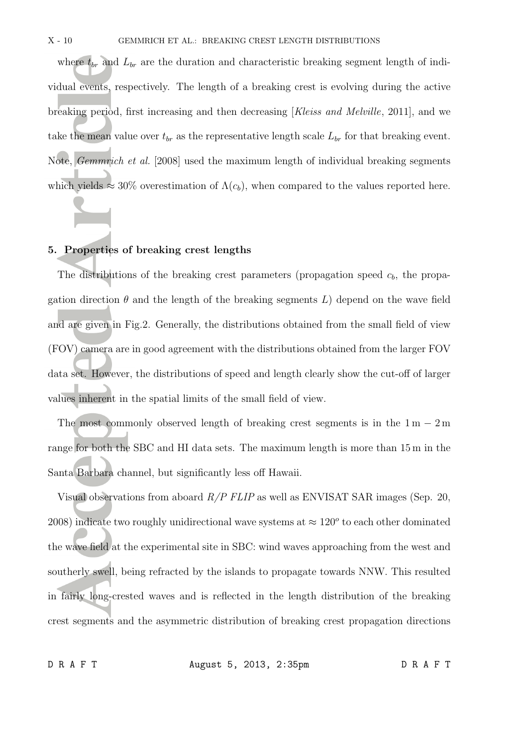where  $t_{br}$  and  $L_{br}$  are the duration and characteristic breaking segment length of individual events, respectively. The length of a breaking crest is evolving during the active breaking period, first increasing and then decreasing [*Kleiss and Melville*, 2011], and we take the mean value over  $t_{br}$  as the representative length scale  $L_{br}$  for that breaking event. Note, *Gemmrich et al.* [2008] used the maximum length of individual breaking segments which yields  $\approx 30\%$  overestimation of  $\Lambda(c_b)$ , when compared to the values reported here.

#### **5. Properties of breaking crest lengths**

The distributions of the breaking crest parameters (propagation speed *cb*, the propagation direction  $\theta$  and the length of the breaking segments  $L$ ) depend on the wave field and are given in Fig.2. Generally, the distributions obtained from the small field of view (FOV) camera are in good agreement with the distributions obtained from the larger FOV data set. However, the distributions of speed and length clearly show the cut-off of larger values inherent in the spatial limits of the small field of view.

The most commonly observed length of breaking crest segments is in the 1 m *−* 2 m range for both the SBC and HI data sets. The maximum length is more than 15 m in the Santa Barbara channel, but significantly less off Hawaii.

Visual observations from aboard *R/P FLIP* as well as ENVISAT SAR images (Sep. 20, 2008) indicate two roughly unidirectional wave systems at  $\approx 120^o$  to each other dominated the wave field at the experimental site in SBC: wind waves approaching from the west and southerly swell, being refracted by the islands to propagate towards NNW. This resulted in fairly long-crested waves and is reflected in the length distribution of the breaking crest segments and the asymmetric distribution of breaking crest propagation directions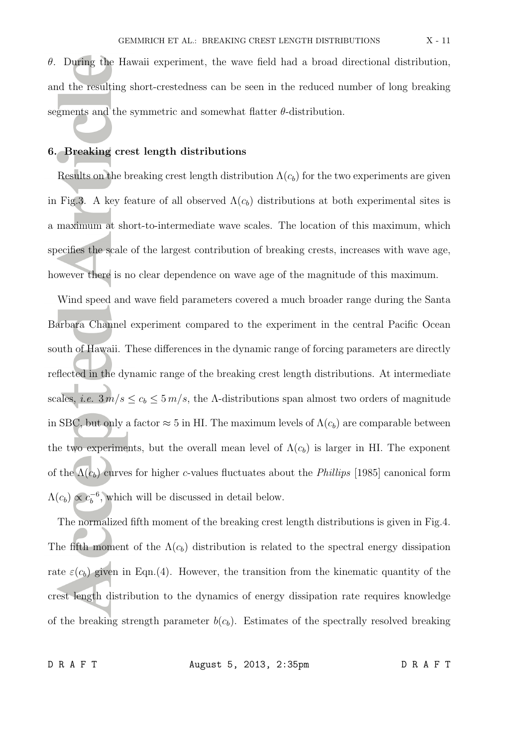*θ*. During the Hawaii experiment, the wave field had a broad directional distribution, and the resulting short-crestedness can be seen in the reduced number of long breaking segments and the symmetric and somewhat flatter *θ*-distribution.

#### **6. Breaking crest length distributions**

Results on the breaking crest length distribution  $\Lambda(c_b)$  for the two experiments are given in Fig.3. A key feature of all observed  $\Lambda(c_b)$  distributions at both experimental sites is a maximum at short-to-intermediate wave scales. The location of this maximum, which specifies the scale of the largest contribution of breaking crests, increases with wave age, however there is no clear dependence on wave age of the magnitude of this maximum.

Wind speed and wave field parameters covered a much broader range during the Santa Barbara Channel experiment compared to the experiment in the central Pacific Ocean south of Hawaii. These differences in the dynamic range of forcing parameters are directly reflected in the dynamic range of the breaking crest length distributions. At intermediate scales, *i.e.*  $3 m/s \leq c_b \leq 5 m/s$ , the A-distributions span almost two orders of magnitude in SBC, but only a factor  $\approx$  5 in HI. The maximum levels of  $\Lambda(c_b)$  are comparable between the two experiments, but the overall mean level of  $\Lambda(c_b)$  is larger in HI. The exponent of the Λ(*cb*) curves for higher *c*-values fluctuates about the *Phillips* [1985] canonical form  $\Lambda(c_b) \propto c_b^{-6}$ , which will be discussed in detail below.

The normalized fifth moment of the breaking crest length distributions is given in Fig.4. The fifth moment of the  $\Lambda(c_b)$  distribution is related to the spectral energy dissipation rate  $\varepsilon(c_b)$  given in Eqn.(4). However, the transition from the kinematic quantity of the crest length distribution to the dynamics of energy dissipation rate requires knowledge of the breaking strength parameter  $b(c_b)$ . Estimates of the spectrally resolved breaking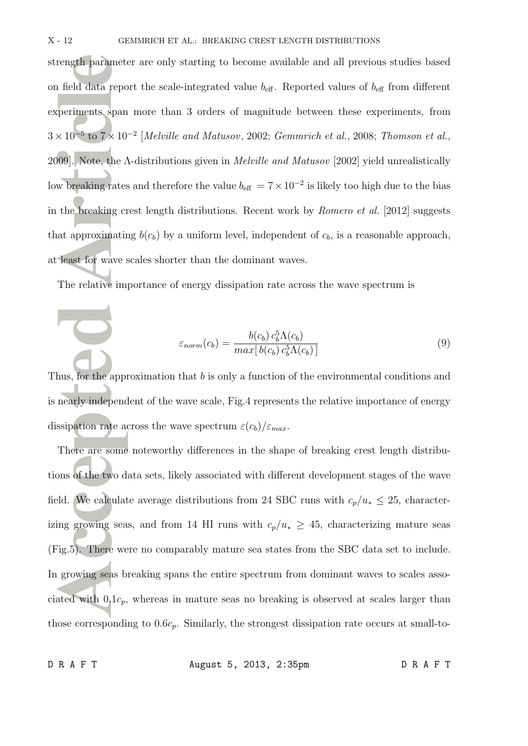strength parameter are only starting to become available and all previous studies based on field data report the scale-integrated value  $b_{\text{eff}}$ . Reported values of  $b_{\text{eff}}$  from different experiments span more than 3 orders of magnitude between these experiments, from <sup>3</sup>*×*10*−*<sup>5</sup> to 7*×*10*−*<sup>2</sup> [*Melville and Matusov*, 2002; *Gemmrich et al.*, 2008; *Thomson et al.*, 2009]. Note, the Λ-distributions given in *Melville and Matusov* [2002] yield unrealistically low breaking rates and therefore the value  $b_{\text{eff}} = 7 \times 10^{-2}$  is likely too high due to the bias in the breaking crest length distributions. Recent work by *Romero et al.* [2012] suggests that approximating  $b(c_b)$  by a uniform level, independent of  $c_b$ , is a reasonable approach, at least for wave scales shorter than the dominant waves.

The relative importance of energy dissipation rate across the wave spectrum is

$$
\varepsilon_{norm}(c_b) = \frac{b(c_b) c_b^5 \Lambda(c_b)}{max[b(c_b) c_b^5 \Lambda(c_b)]}
$$
\n(9)

Thus, for the approximation that *b* is only a function of the environmental conditions and is nearly independent of the wave scale, Fig.4 represents the relative importance of energy dissipation rate across the wave spectrum  $\varepsilon(c_b)/\varepsilon_{max}$ .

There are some noteworthy differences in the shape of breaking crest length distributions of the two data sets, likely associated with different development stages of the wave field. We calculate average distributions from 24 SBC runs with  $c_p/u_* \leq 25$ , characterizing growing seas, and from 14 HI runs with  $c_p/u_* \geq 45$ , characterizing mature seas (Fig.5). There were no comparably mature sea states from the SBC data set to include. In growing seas breaking spans the entire spectrum from dominant waves to scales associated with  $0.1c_p$ , whereas in mature seas no breaking is observed at scales larger than those corresponding to 0*.*6*cp*. Similarly, the strongest dissipation rate occurs at small-to-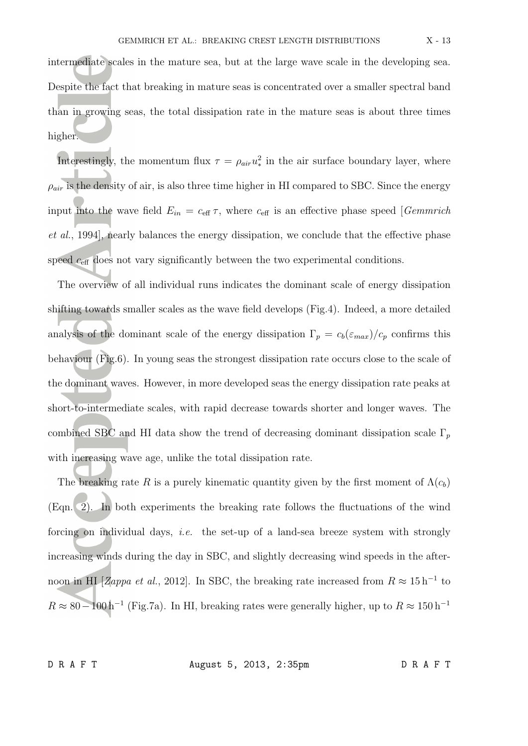intermediate scales in the mature sea, but at the large wave scale in the developing sea. Despite the fact that breaking in mature seas is concentrated over a smaller spectral band than in growing seas, the total dissipation rate in the mature seas is about three times higher.

Interestingly, the momentum flux  $\tau = \rho_{air} u^2_*$ *∗* in the air surface boundary layer, where  $\rho_{air}$  is the density of air, is also three time higher in HI compared to SBC. Since the energy input into the wave field  $E_{in} = c_{\text{eff}} \tau$ , where  $c_{\text{eff}}$  is an effective phase speed [*Gemmrich et al.*, 1994], nearly balances the energy dissipation, we conclude that the effective phase speed  $c_{\text{eff}}$  does not vary significantly between the two experimental conditions.

The overview of all individual runs indicates the dominant scale of energy dissipation shifting towards smaller scales as the wave field develops (Fig.4). Indeed, a more detailed analysis of the dominant scale of the energy dissipation  $\Gamma_p = c_b(\varepsilon_{max})/c_p$  confirms this behaviour (Fig.6). In young seas the strongest dissipation rate occurs close to the scale of the dominant waves. However, in more developed seas the energy dissipation rate peaks at short-to-intermediate scales, with rapid decrease towards shorter and longer waves. The combined SBC and HI data show the trend of decreasing dominant dissipation scale Γ*<sup>p</sup>* with increasing wave age, unlike the total dissipation rate.

The breaking rate *R* is a purely kinematic quantity given by the first moment of  $\Lambda(c_b)$ (Eqn. 2). In both experiments the breaking rate follows the fluctuations of the wind forcing on individual days, *i.e.* the set-up of a land-sea breeze system with strongly increasing winds during the day in SBC, and slightly decreasing wind speeds in the afternoon in HI [*Zappa et al.*, 2012]. In SBC, the breaking rate increased from  $R \approx 15 \text{ h}^{-1}$  to  $R \approx 80 - 100$  h<sup>−1</sup> (Fig.7a). In HI, breaking rates were generally higher, up to  $R \approx 150$  h<sup>−1</sup>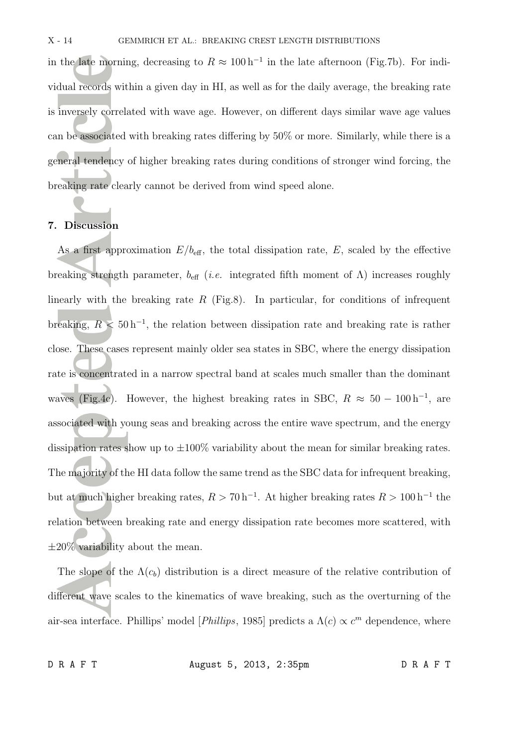in the late morning, decreasing to  $R \approx 100 \,\mathrm{h}^{-1}$  in the late afternoon (Fig.7b). For individual records within a given day in HI, as well as for the daily average, the breaking rate is inversely correlated with wave age. However, on different days similar wave age values can be associated with breaking rates differing by 50% or more. Similarly, while there is a general tendency of higher breaking rates during conditions of stronger wind forcing, the breaking rate clearly cannot be derived from wind speed alone.

#### **7. Discussion**

As a first approximation  $E/b<sub>eff</sub>$ , the total dissipation rate, E, scaled by the effective breaking strength parameter,  $b_{\text{eff}}$  (*i.e.* integrated fifth moment of  $\Lambda$ ) increases roughly linearly with the breaking rate *R* (Fig.8). In particular, for conditions of infrequent breaking, *R <* 50 h*−*<sup>1</sup> , the relation between dissipation rate and breaking rate is rather close. These cases represent mainly older sea states in SBC, where the energy dissipation rate is concentrated in a narrow spectral band at scales much smaller than the dominant waves (Fig.4c). However, the highest breaking rates in SBC,  $R \approx 50 - 100 \,\mathrm{h}^{-1}$ , are associated with young seas and breaking across the entire wave spectrum, and the energy dissipation rates show up to *±*100% variability about the mean for similar breaking rates. The majority of the HI data follow the same trend as the SBC data for infrequent breaking, but at much higher breaking rates,  $R > 70 h^{-1}$ . At higher breaking rates  $R > 100 h^{-1}$  the relation between breaking rate and energy dissipation rate becomes more scattered, with *±*20% variability about the mean.

The slope of the  $\Lambda(c_b)$  distribution is a direct measure of the relative contribution of different wave scales to the kinematics of wave breaking, such as the overturning of the air-sea interface. Phillips' model [*Phillips*, 1985] predicts a  $\Lambda(c) \propto c^m$  dependence, where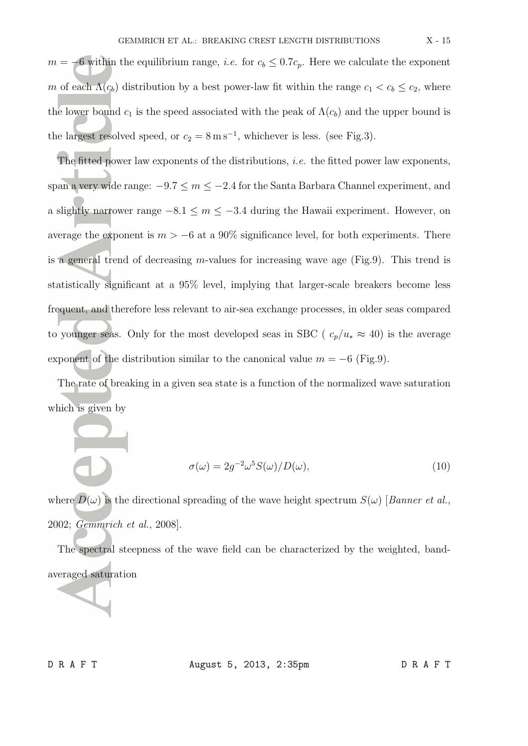$m = -6$  within the equilibrium range, *i.e.* for  $c_b \leq 0.7c_p$ . Here we calculate the exponent *m* of each  $\Lambda(c_b)$  distribution by a best power-law fit within the range  $c_1 < c_b \le c_2$ , where the lower bound  $c_1$  is the speed associated with the peak of  $\Lambda(c_b)$  and the upper bound is the largest resolved speed, or  $c_2 = 8 \,\mathrm{m\,s^{-1}}$ , whichever is less. (see Fig.3).

The fitted power law exponents of the distributions, *i.e.* the fitted power law exponents, span a very wide range: *−*9*.*7 *≤ m ≤ −*2*.*4 for the Santa Barbara Channel experiment, and a slightly narrower range *−*8*.*1 *≤ m ≤ −*3*.*4 during the Hawaii experiment. However, on average the exponent is  $m > -6$  at a 90% significance level, for both experiments. There is a general trend of decreasing *m*-values for increasing wave age (Fig.9). This trend is statistically significant at a 95% level, implying that larger-scale breakers become less frequent, and therefore less relevant to air-sea exchange processes, in older seas compared to younger seas. Only for the most developed seas in SBC ( $c_p/u_* \approx 40$ ) is the average exponent of the distribution similar to the canonical value  $m = -6$  (Fig.9).

The rate of breaking in a given sea state is a function of the normalized wave saturation which is given by

$$
\sigma(\omega) = 2g^{-2}\omega^5 S(\omega)/D(\omega),\tag{10}
$$

where  $D(\omega)$  is the directional spreading of the wave height spectrum  $S(\omega)$  [*Banner et al.*, 2002; *Gemmrich et al.*, 2008].

The spectral steepness of the wave field can be characterized by the weighted, bandaveraged saturation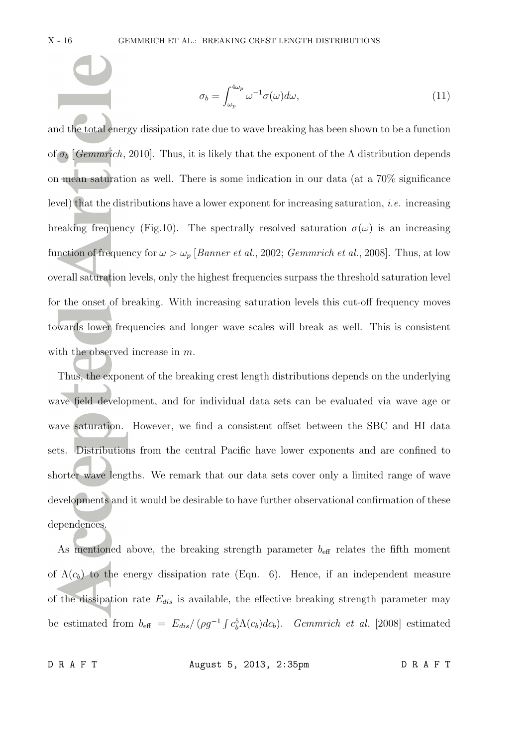$$
\sigma_b = \int_{\omega_p}^{4\omega_p} \omega^{-1} \sigma(\omega) d\omega, \qquad (11)
$$

and the total energy dissipation rate due to wave breaking has been shown to be a function of  $\sigma_b$  [*Gemmrich*, 2010]. Thus, it is likely that the exponent of the  $\Lambda$  distribution depends on mean saturation as well. There is some indication in our data (at a 70% significance level) that the distributions have a lower exponent for increasing saturation, *i.e.* increasing breaking frequency (Fig.10). The spectrally resolved saturation  $\sigma(\omega)$  is an increasing function of frequency for  $\omega > \omega_p$  [Banner et al., 2002; *Gemmrich et al.*, 2008]. Thus, at low overall saturation levels, only the highest frequencies surpass the threshold saturation level for the onset of breaking. With increasing saturation levels this cut-off frequency moves towards lower frequencies and longer wave scales will break as well. This is consistent with the observed increase in *m*.

Thus, the exponent of the breaking crest length distributions depends on the underlying wave field development, and for individual data sets can be evaluated via wave age or wave saturation. However, we find a consistent offset between the SBC and HI data sets. Distributions from the central Pacific have lower exponents and are confined to shorter wave lengths. We remark that our data sets cover only a limited range of wave developments and it would be desirable to have further observational confirmation of these dependences.

As mentioned above, the breaking strength parameter  $b_{\text{eff}}$  relates the fifth moment of  $\Lambda(c_b)$  to the energy dissipation rate (Eqn. 6). Hence, if an independent measure of the dissipation rate *Edis* is available, the effective breaking strength parameter may be estimated from  $b_{\text{eff}} = E_{dis}/(\rho g^{-1} \int c_b^5 \Lambda(c_b) dc_b)$ . *Gemmrich et al.* [2008] estimated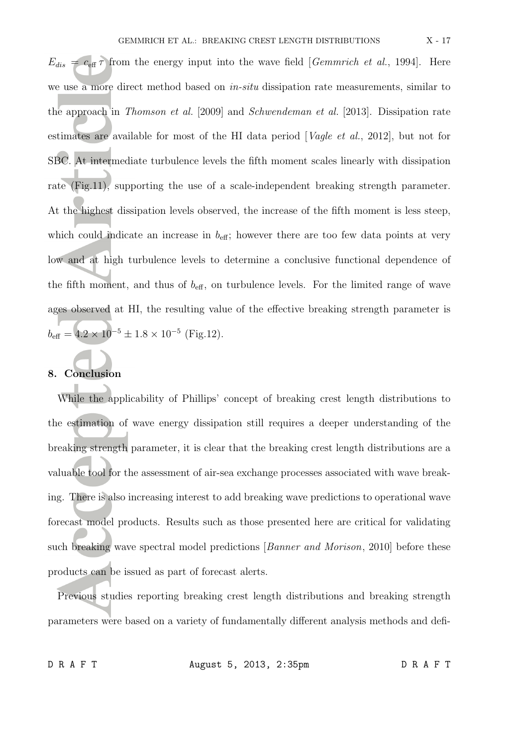$E_{dis} = c_{\text{eff}} \tau$  from the energy input into the wave field [*Gemmrich et al.*, 1994]. Here we use a more direct method based on *in-situ* dissipation rate measurements, similar to the approach in *Thomson et al.* [2009] and *Schwendeman et al.* [2013]. Dissipation rate estimates are available for most of the HI data period [*Vagle et al.*, 2012], but not for SBC. At intermediate turbulence levels the fifth moment scales linearly with dissipation rate (Fig.11), supporting the use of a scale-independent breaking strength parameter. At the highest dissipation levels observed, the increase of the fifth moment is less steep, which could indicate an increase in  $b_{\text{eff}}$ ; however there are too few data points at very low and at high turbulence levels to determine a conclusive functional dependence of the fifth moment, and thus of  $b_{\text{eff}}$ , on turbulence levels. For the limited range of wave ages observed at HI, the resulting value of the effective breaking strength parameter is  $b_{\text{eff}} = 4.2 \times 10^{-5} \pm 1.8 \times 10^{-5}$  (Fig.12).

## **8. Conclusion**

While the applicability of Phillips' concept of breaking crest length distributions to the estimation of wave energy dissipation still requires a deeper understanding of the breaking strength parameter, it is clear that the breaking crest length distributions are a valuable tool for the assessment of air-sea exchange processes associated with wave breaking. There is also increasing interest to add breaking wave predictions to operational wave forecast model products. Results such as those presented here are critical for validating such breaking wave spectral model predictions [*Banner and Morison*, 2010] before these products can be issued as part of forecast alerts.

Previous studies reporting breaking crest length distributions and breaking strength parameters were based on a variety of fundamentally different analysis methods and defi-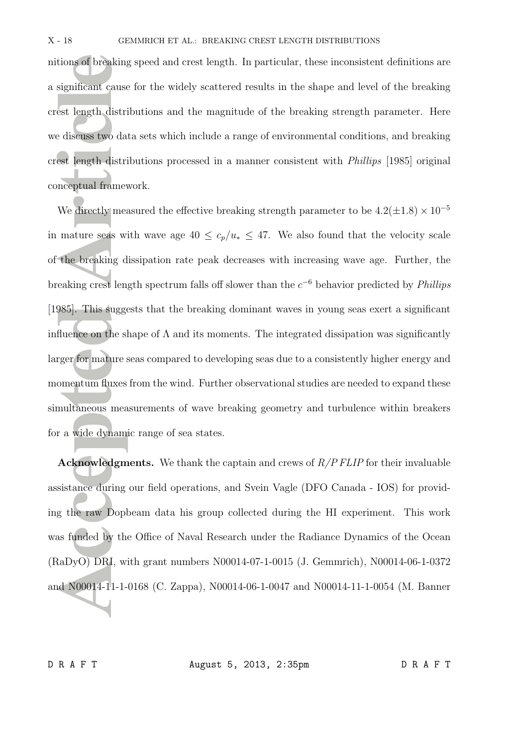nitions of breaking speed and crest length. In particular, these inconsistent definitions are a significant cause for the widely scattered results in the shape and level of the breaking crest length distributions and the magnitude of the breaking strength parameter. Here we discuss two data sets which include a range of environmental conditions, and breaking crest length distributions processed in a manner consistent with *Phillips* [1985] original conceptual framework.

We directly measured the effective breaking strength parameter to be  $4.2(\pm 1.8) \times 10^{-5}$ in mature seas with wave age  $40 \leq c_p/u_* \leq 47$ . We also found that the velocity scale of the breaking dissipation rate peak decreases with increasing wave age. Further, the breaking crest length spectrum falls off slower than the *c <sup>−</sup>*<sup>6</sup> behavior predicted by *Phillips* [1985]. This suggests that the breaking dominant waves in young seas exert a significant influence on the shape of  $\Lambda$  and its moments. The integrated dissipation was significantly larger for mature seas compared to developing seas due to a consistently higher energy and momentum fluxes from the wind. Further observational studies are needed to expand these simultaneous measurements of wave breaking geometry and turbulence within breakers for a wide dynamic range of sea states.

**Acknowledgments.** We thank the captain and crews of *R/P FLIP* for their invaluable assistance during our field operations, and Svein Vagle (DFO Canada - IOS) for providing the raw Dopbeam data his group collected during the HI experiment. This work was funded by the Office of Naval Research under the Radiance Dynamics of the Ocean (RaDyO) DRI, with grant numbers N00014-07-1-0015 (J. Gemmrich), N00014-06-1-0372 and N00014-11-1-0168 (C. Zappa), N00014-06-1-0047 and N00014-11-1-0054 (M. Banner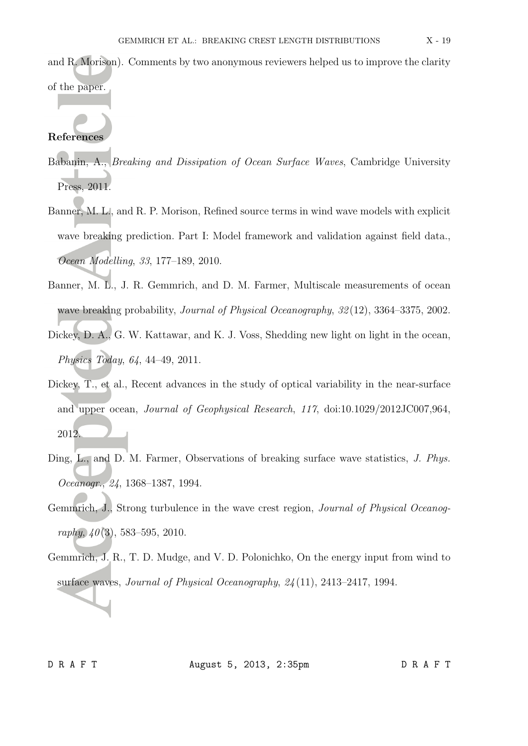and R. Morison). Comments by two anonymous reviewers helped us to improve the clarity of the paper.

#### **References**

- Babanin, A., *Breaking and Dissipation of Ocean Surface Waves*, Cambridge University Press, 2011.
- Banner, M. L., and R. P. Morison, Refined source terms in wind wave models with explicit wave breaking prediction. Part I: Model framework and validation against field data., *Ocean Modelling*, *33*, 177–189, 2010.
- Banner, M. L., J. R. Gemmrich, and D. M. Farmer, Multiscale measurements of ocean wave breaking probability, *Journal of Physical Oceanography*, *32* (12), 3364–3375, 2002.
- Dickey, D. A., G. W. Kattawar, and K. J. Voss, Shedding new light on light in the ocean, *Physics Today*, *64*, 44–49, 2011.
- Dickey, T., et al., Recent advances in the study of optical variability in the near-surface and upper ocean, *Journal of Geophysical Research*, *117*, doi:10.1029/2012JC007,964, 2012.
- Ding, L., and D. M. Farmer, Observations of breaking surface wave statistics, *J. Phys. Oceanogr.*, *24*, 1368–1387, 1994.
- Gemmrich, J., Strong turbulence in the wave crest region, *Journal of Physical Oceanography*, *40* (3), 583–595, 2010.
- Gemmrich, J. R., T. D. Mudge, and V. D. Polonichko, On the energy input from wind to surface waves, *Journal of Physical Oceanography*, *24* (11), 2413–2417, 1994.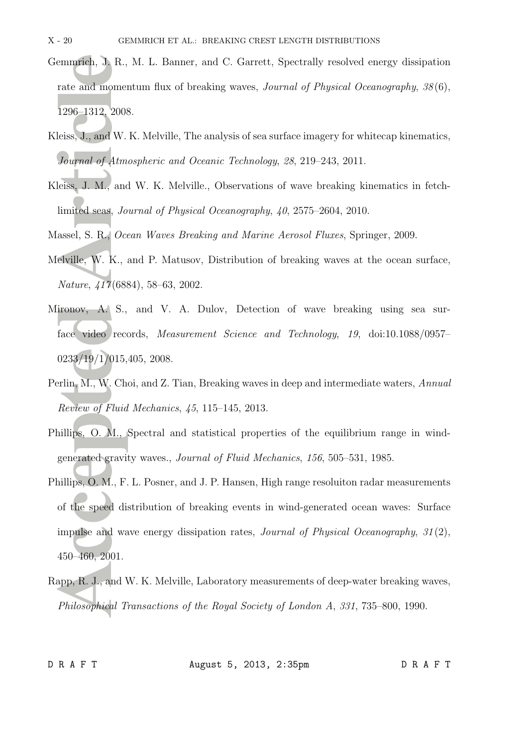- Gemmrich, J. R., M. L. Banner, and C. Garrett, Spectrally resolved energy dissipation rate and momentum flux of breaking waves, *Journal of Physical Oceanography*, *38* (6), 1296–1312, 2008.
- Kleiss, J., and W. K. Melville, The analysis of sea surface imagery for whitecap kinematics, *Journal of Atmospheric and Oceanic Technology*, *28*, 219–243, 2011.
- Kleiss, J. M., and W. K. Melville., Observations of wave breaking kinematics in fetchlimited seas, *Journal of Physical Oceanography*, *40*, 2575–2604, 2010.
- Massel, S. R., *Ocean Waves Breaking and Marine Aerosol Fluxes*, Springer, 2009.
- Melville, W. K., and P. Matusov, Distribution of breaking waves at the ocean surface, *Nature*, *417* (6884), 58–63, 2002.
- Mironov, A. S., and V. A. Dulov, Detection of wave breaking using sea surface video records, *Measurement Science and Technology*, *19*, doi:10.1088/0957– 0233/19/1/015,405, 2008.
- Perlin, M., W. Choi, and Z. Tian, Breaking waves in deep and intermediate waters, *Annual Review of Fluid Mechanics*, *45*, 115–145, 2013.
- Phillips, O. M., Spectral and statistical properties of the equilibrium range in windgenerated gravity waves., *Journal of Fluid Mechanics*, *156*, 505–531, 1985.
- Phillips, O. M., F. L. Posner, and J. P. Hansen, High range resoluiton radar measurements of the speed distribution of breaking events in wind-generated ocean waves: Surface impulse and wave energy dissipation rates, *Journal of Physical Oceanography*, *31* (2), 450–460, 2001.
- Rapp, R. J., and W. K. Melville, Laboratory measurements of deep-water breaking waves, *Philosophical Transactions of the Royal Society of London A*, *331*, 735–800, 1990.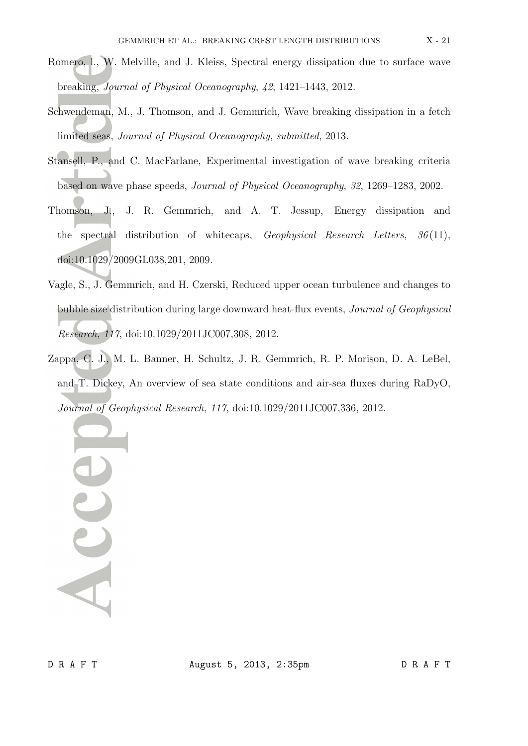- Romero, l., W. Melville, and J. Kleiss, Spectral energy dissipation due to surface wave breaking, *Journal of Physical Oceanography*, *42*, 1421–1443, 2012.
- Schwendeman, M., J. Thomson, and J. Gemmrich, Wave breaking dissipation in a fetch limited seas, *Journal of Physical Oceanography*, *submitted*, 2013.
- Stansell, P., and C. MacFarlane, Experimental investigation of wave breaking criteria based on wave phase speeds, *Journal of Physical Oceanography*, *32*, 1269–1283, 2002.
- Thomson, J., J. R. Gemmrich, and A. T. Jessup, Energy dissipation and the spectral distribution of whitecaps, *Geophysical Research Letters*, *36* (11), doi:10.1029/2009GL038,201, 2009.
- Vagle, S., J. Gemmrich, and H. Czerski, Reduced upper ocean turbulence and changes to bubble size distribution during large downward heat-flux events, *Journal of Geophysical Research*, *117*, doi:10.1029/2011JC007,308, 2012.
- Zappa, C. J., M. L. Banner, H. Schultz, J. R. Gemmrich, R. P. Morison, D. A. LeBel, and T. Dickey, An overview of sea state conditions and air-sea fluxes during RaDyO, *Journal of Geophysical Research*, *117*, doi:10.1029/2011JC007,336, 2012.

Acce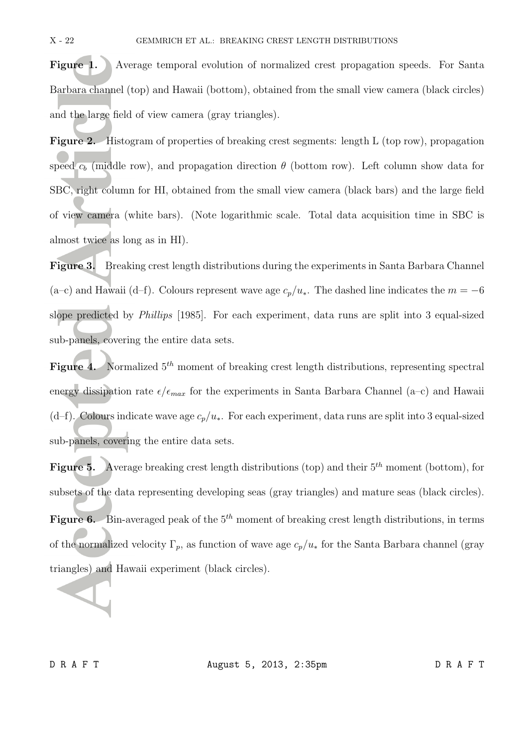**Figure 1.** Average temporal evolution of normalized crest propagation speeds. For Santa Barbara channel (top) and Hawaii (bottom), obtained from the small view camera (black circles) and the large field of view camera (gray triangles).

**Figure 2.** Histogram of properties of breaking crest segments: length L (top row), propagation speed  $c<sub>b</sub>$  (middle row), and propagation direction  $\theta$  (bottom row). Left column show data for SBC, right column for HI, obtained from the small view camera (black bars) and the large field of view camera (white bars). (Note logarithmic scale. Total data acquisition time in SBC is almost twice as long as in HI).

**Figure 3.** Breaking crest length distributions during the experiments in Santa Barbara Channel (a–c) and Hawaii (d–f). Colours represent wave age  $c_p/u_*$ . The dashed line indicates the  $m = -6$ slope predicted by *Phillips* [1985]. For each experiment, data runs are split into 3 equal-sized sub-panels, covering the entire data sets.

**Figure 4.** Normalized 5*th* moment of breaking crest length distributions, representing spectral energy dissipation rate  $\epsilon/\epsilon_{max}$  for the experiments in Santa Barbara Channel (a–c) and Hawaii (d–f). Colours indicate wave age *cp/u∗*. For each experiment, data runs are split into 3 equal-sized sub-panels, covering the entire data sets.

**Figure 5.** Average breaking crest length distributions (top) and their 5*th* moment (bottom), for subsets of the data representing developing seas (gray triangles) and mature seas (black circles). **Figure 6.** Bin-averaged peak of the 5*th* moment of breaking crest length distributions, in terms of the normalized velocity  $\Gamma_p$ , as function of wave age  $c_p/u_*$  for the Santa Barbara channel (gray triangles) and Hawaii experiment (black circles).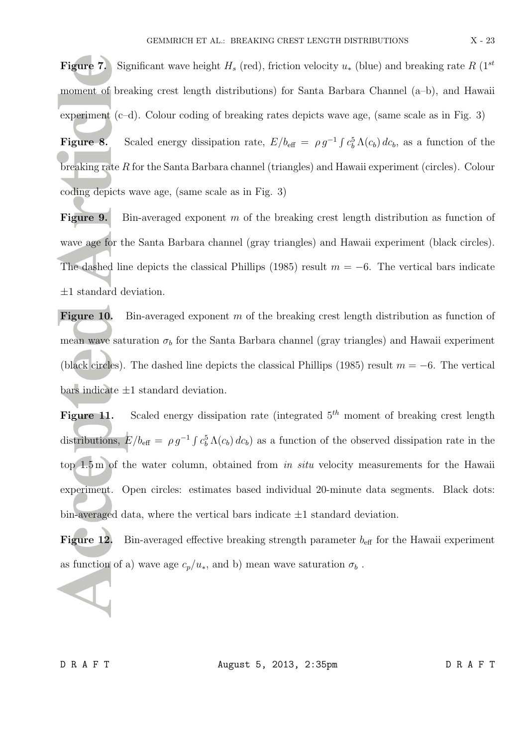**Figure 7.** Significant wave height  $H_s$  (red), friction velocity  $u_*$  (blue) and breaking rate  $R(1^{st})$ moment of breaking crest length distributions) for Santa Barbara Channel (a–b), and Hawaii experiment (c–d). Colour coding of breaking rates depicts wave age, (same scale as in Fig. 3) **Figure 8.** Scaled energy dissipation rate,  $E/b_{\text{eff}} = \rho g^{-1} \int c_b^5 \Lambda(c_b) d c_b$ , as a function of the breaking rate *R* for the Santa Barbara channel (triangles) and Hawaii experiment (circles). Colour coding depicts wave age, (same scale as in Fig. 3)

**Figure 9.** Bin-averaged exponent *m* of the breaking crest length distribution as function of wave age for the Santa Barbara channel (gray triangles) and Hawaii experiment (black circles). The dashed line depicts the classical Phillips (1985) result  $m = -6$ . The vertical bars indicate *±*1 standard deviation.

**Figure 10.** Bin-averaged exponent *m* of the breaking crest length distribution as function of mean wave saturation  $\sigma_b$  for the Santa Barbara channel (gray triangles) and Hawaii experiment (black circles). The dashed line depicts the classical Phillips (1985) result *m* = *−*6. The vertical bars indicate *±*1 standard deviation.

Figure 11. Scaled energy dissipation rate (integrated  $5<sup>th</sup>$  moment of breaking crest length distributions,  $E/b_{\text{eff}} = \rho g^{-1} \int c_b^5 \Lambda(c_b) d c_b$  as a function of the observed dissipation rate in the top 1.5 m of the water column, obtained from *in situ* velocity measurements for the Hawaii experiment. Open circles: estimates based individual 20-minute data segments. Black dots: bin-averaged data, where the vertical bars indicate *±*1 standard deviation.

Figure 12. Bin-averaged effective breaking strength parameter  $b_{\text{eff}}$  for the Hawaii experiment as function of a) wave age  $c_p/u_*$ , and b) mean wave saturation  $\sigma_b$ .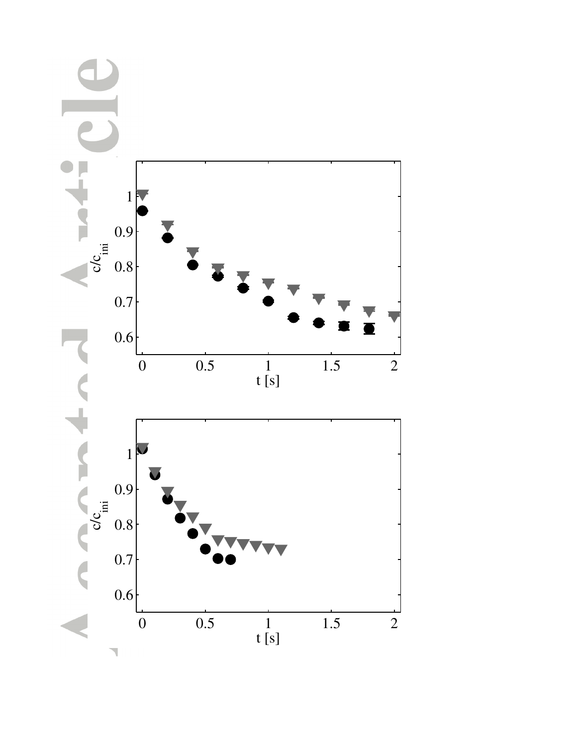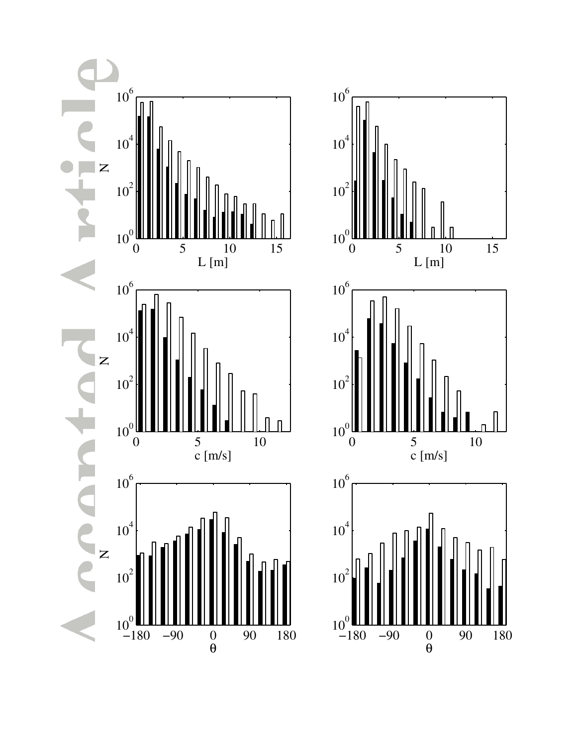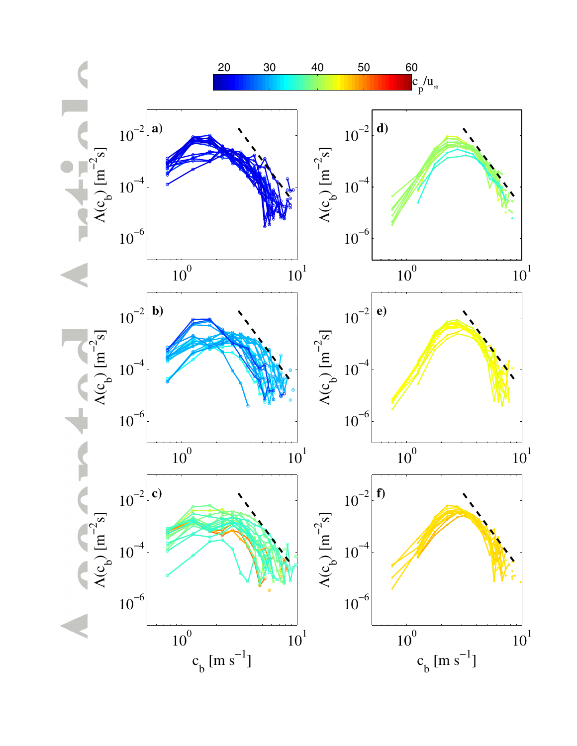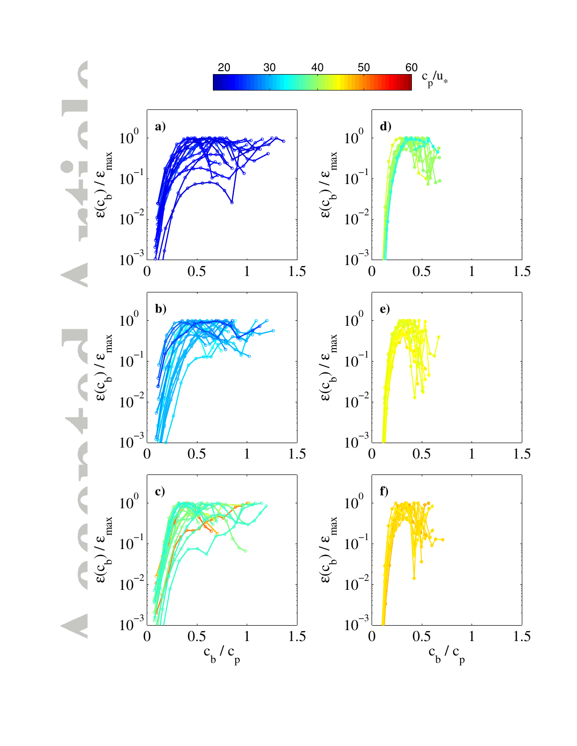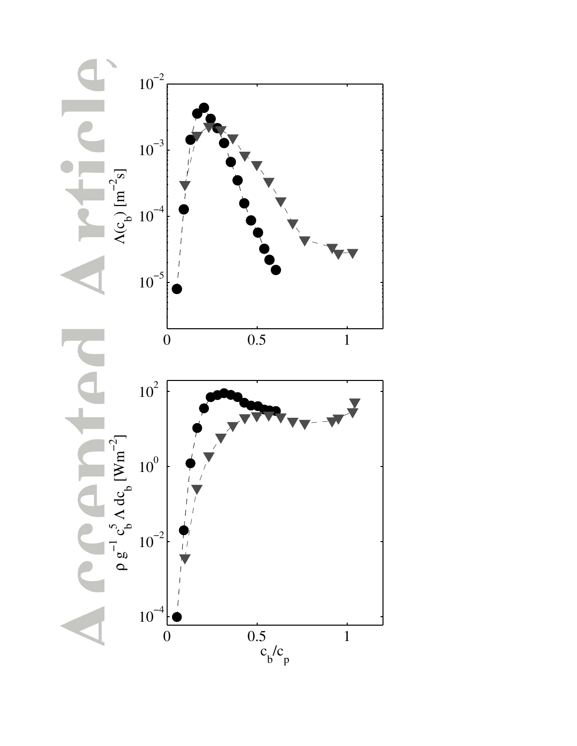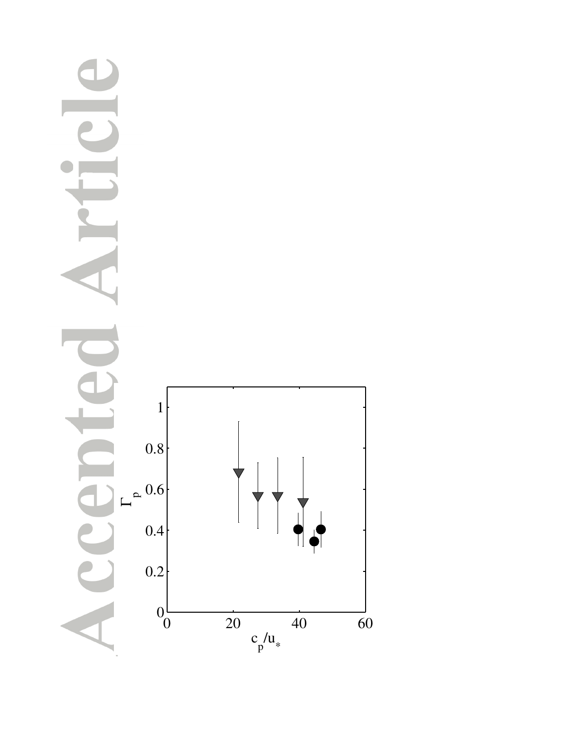0 20 40 60  $0<sup>L</sup><sub>0</sub>$ 0.2  $0.4$ 0.6  $0.8$ 1  $c_p/u_*$ Γ  $\mathsf{P}$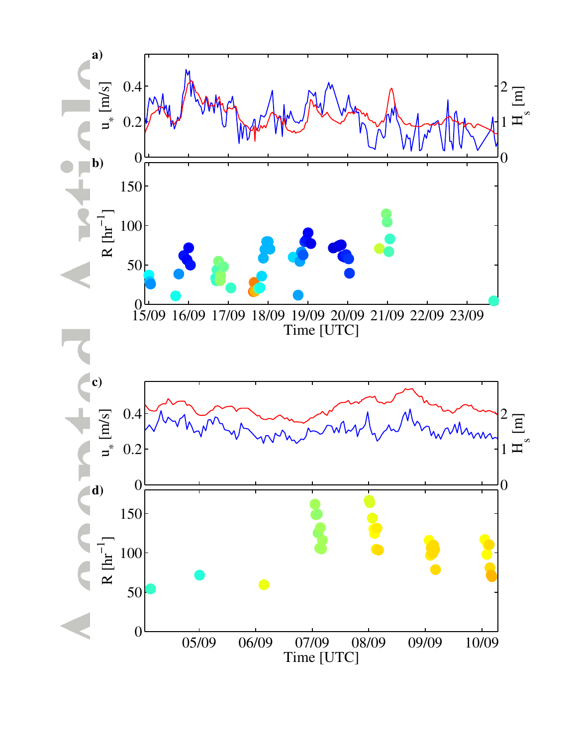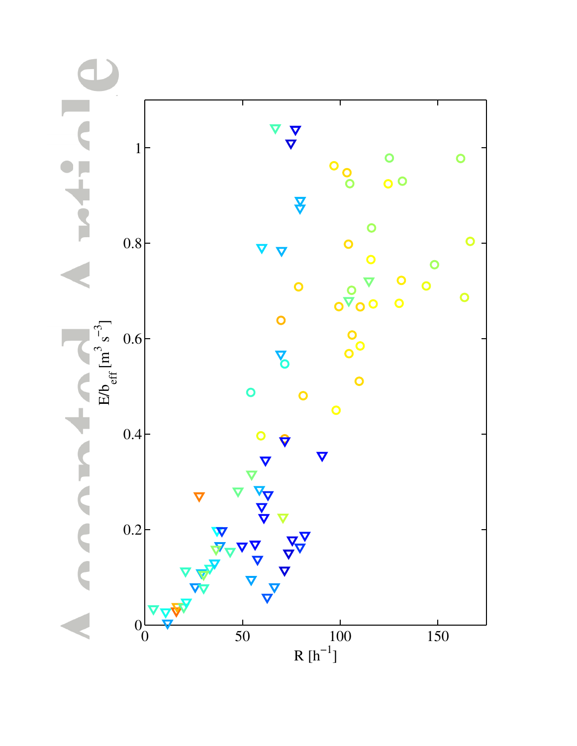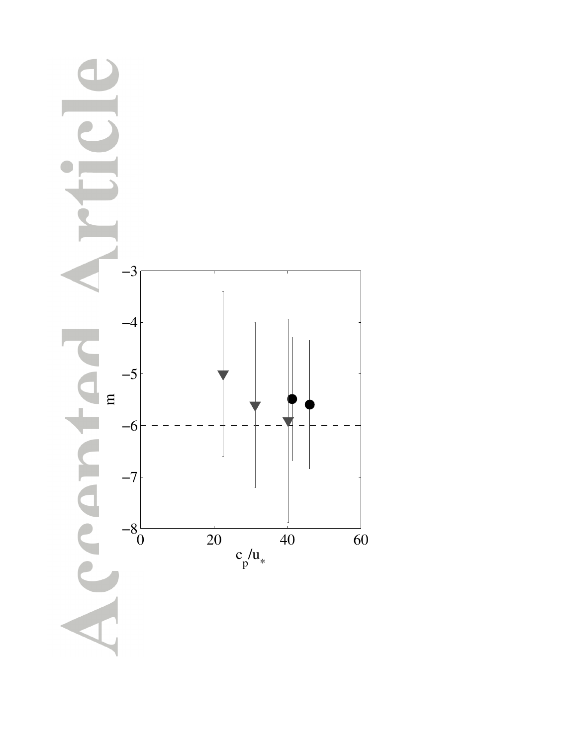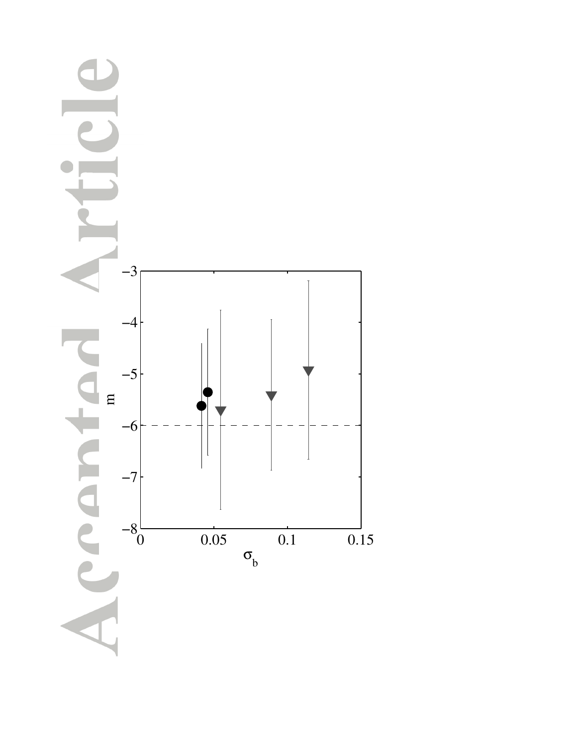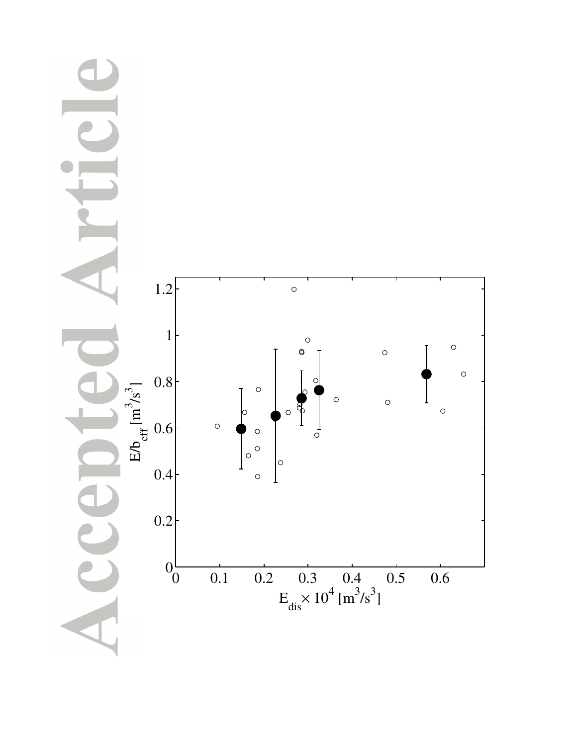